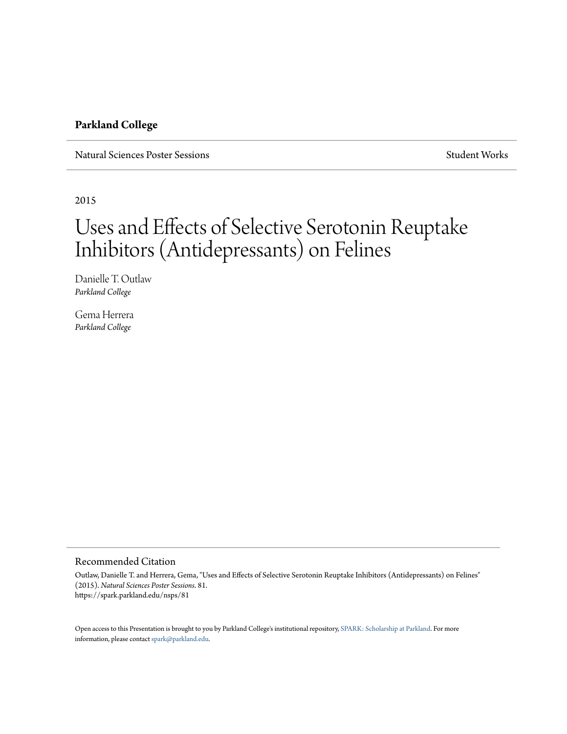#### **Parkland College**

Natural Sciences Poster Sessions Student Works Student Works Student Works

2015

#### Uses and Effects of Selective Serotonin Reuptake Inhibitors (Antidepressants) on Felines

Danielle T. Outlaw *Parkland College*

Gema Herrera *Parkland College*

#### Recommended Citation

Outlaw, Danielle T. and Herrera, Gema, "Uses and Effects of Selective Serotonin Reuptake Inhibitors (Antidepressants) on Felines" (2015). *Natural Sciences Poster Sessions*. 81. https://spark.parkland.edu/nsps/81

Open access to this Presentation is brought to you by Parkland College's institutional repository, [SPARK: Scholarship at Parkland.](http://spark.parkland.edu/) For more information, please contact [spark@parkland.edu](mailto:spark@parkland.edu).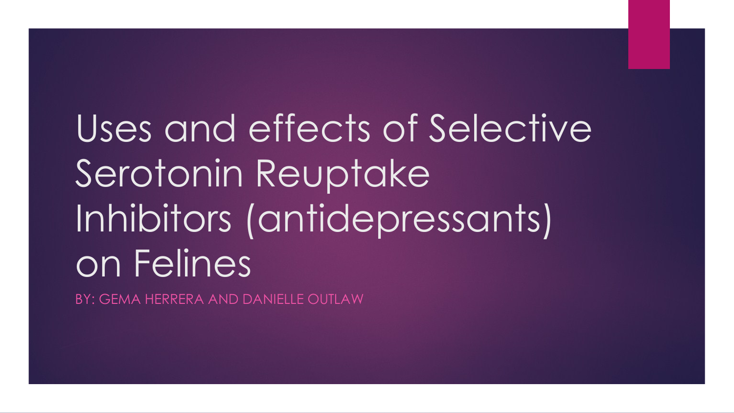# Uses and effects of Selective Serotonin Reuptake Inhibitors (antidepressants) on Felines

BY: GEMA HERRERA AND DANIELLE OUTLAW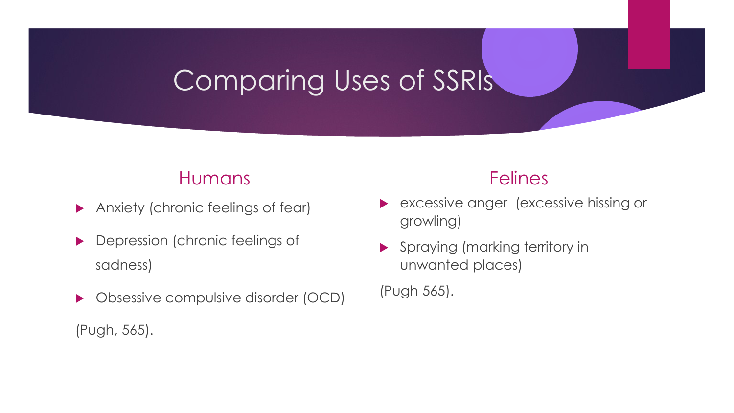## Comparing Uses of SSRIs

### Humans

- Anxiety (chronic feelings of fear)
- **Depression (chronic feelings of** sadness)
- ▶ Obsessive compulsive disorder (OCD)

(Pugh, 565).

### Felines

- excessive anger (excessive hissing or growling)
- **Spraying (marking territory in** unwanted places)

(Pugh 565).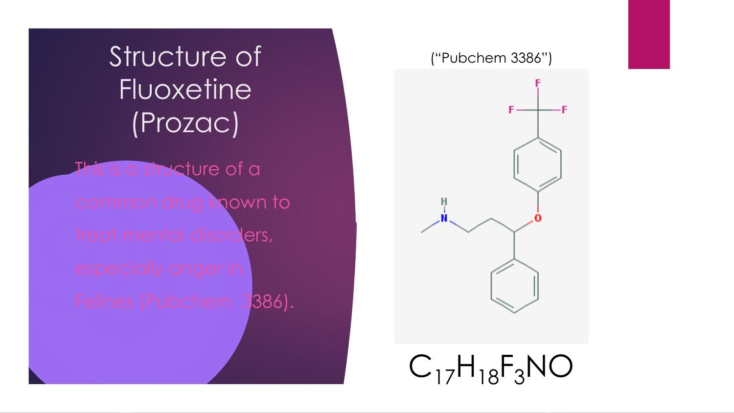Structure of **Fluoxetine** (Prozac) s is a structure of a common drug known to treat mental disorders, Felines (Pubchem 3386).

#### ("Pubchem 3386")

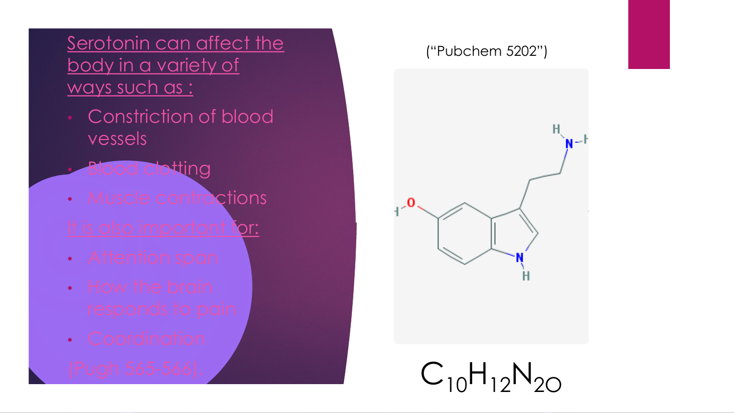### Serotonin can affect the body in a variety of ways such as :

- Constriction of blood vessels
- **Blood clotting**
- **Muscle contractions** It is also important for:
- Attention span
- How the brain
- Coordination
- 

#### ("Pubchem 5202")



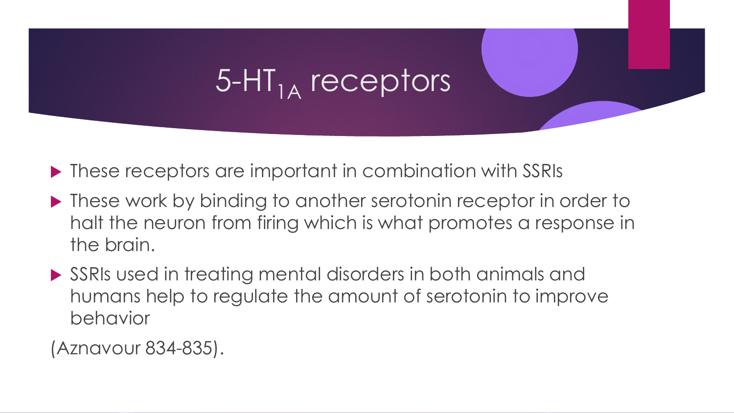# $5$ -HT<sub>1A</sub> receptors

- ▶ These receptors are important in combination with SSRIs
- ▶ These work by binding to another serotonin receptor in order to halt the neuron from firing which is what promotes a response in the brain.
- SSRIs used in treating mental disorders in both animals and humans help to regulate the amount of serotonin to improve behavior

(Aznavour 834-835).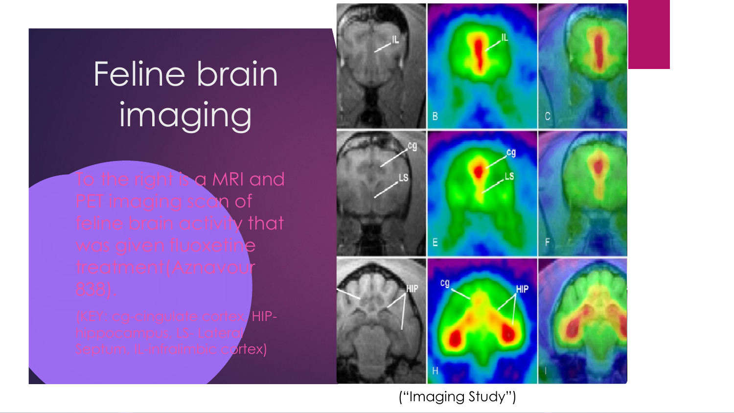# Feline brain imaging

To the right is a MRI and PET imaging scan of feline brain activity that was given fluoxetine treatment(Aznavou

(KEY: cg-cingulate cortex, HIPhippocampus, LS- Lateral Septum, IL-infralimbic cortex)



("Imaging Study")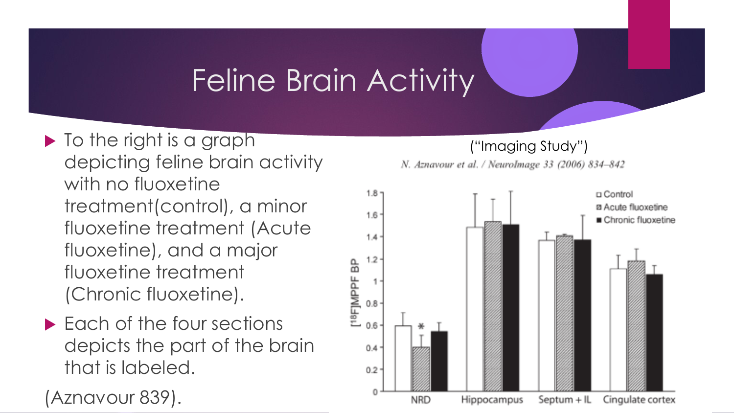# Feline Brain Activity

- In the right is a graph depicting feline brain activity with no fluoxetine treatment(control), a minor fluoxetine treatment (Acute fluoxetine), and a major fluoxetine treatment (Chronic fluoxetine).
- ▶ Each of the four sections depicts the part of the brain that is labeled.

(Aznavour 839).

#### ("Imaging Study")

N. Aznavour et al. / NeuroImage 33 (2006) 834-842

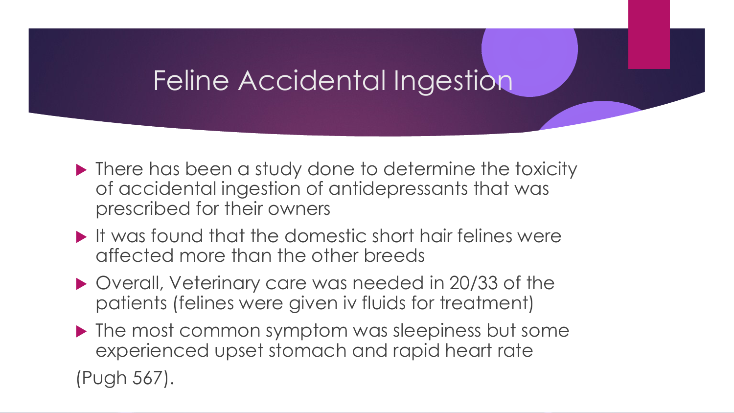## Feline Accidental Ingestion

- ▶ There has been a study done to determine the toxicity of accidental ingestion of antidepressants that was prescribed for their owners
- $\blacktriangleright$  It was found that the domestic short hair felines were affected more than the other breeds
- ▶ Overall, Veterinary care was needed in 20/33 of the patients (felines were given iv fluids for treatment)
- The most common symptom was sleepiness but some experienced upset stomach and rapid heart rate

(Pugh 567).